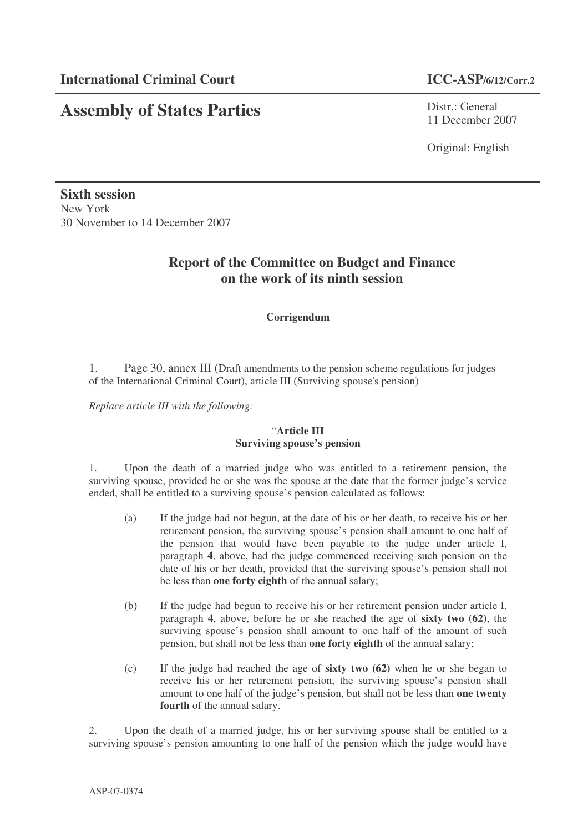# **Assembly of States Parties**

Distr.: General 11 December 2007

Original: English

**Sixth session** New York 30 November to 14 December 2007

## **Report of the Committee on Budget and Finance on the work of its ninth session**

#### **Corrigendum**

1. Page 30, annex III (Draft amendments to the pension scheme regulations for judges of the International Criminal Court), article III (Surviving spouse's pension)

*Replace article III with the following:*

#### "**Article III Surviving spouse's pension**

1. Upon the death of a married judge who was entitled to a retirement pension, the surviving spouse, provided he or she was the spouse at the date that the former judge's service ended, shall be entitled to a surviving spouse's pension calculated as follows:

- (a) If the judge had not begun, at the date of his or her death, to receive his or her retirement pension, the surviving spouse's pension shall amount to one half of the pension that would have been payable to the judge under article I, paragraph **4**, above, had the judge commenced receiving such pension on the date of his or her death, provided that the surviving spouse's pension shall not be less than **one forty eighth** of the annual salary;
- (b) If the judge had begun to receive his or her retirement pension under article I, paragraph **4**, above, before he or she reached the age of **sixty two (62)**, the surviving spouse's pension shall amount to one half of the amount of such pension, but shall not be less than **one forty eighth** of the annual salary;
- (c) If the judge had reached the age of **sixty two (62)** when he or she began to receive his or her retirement pension, the surviving spouse's pension shall amount to one half of the judge's pension, but shall not be less than **one twenty fourth** of the annual salary.

2. Upon the death of a married judge, his or her surviving spouse shall be entitled to a surviving spouse's pension amounting to one half of the pension which the judge would have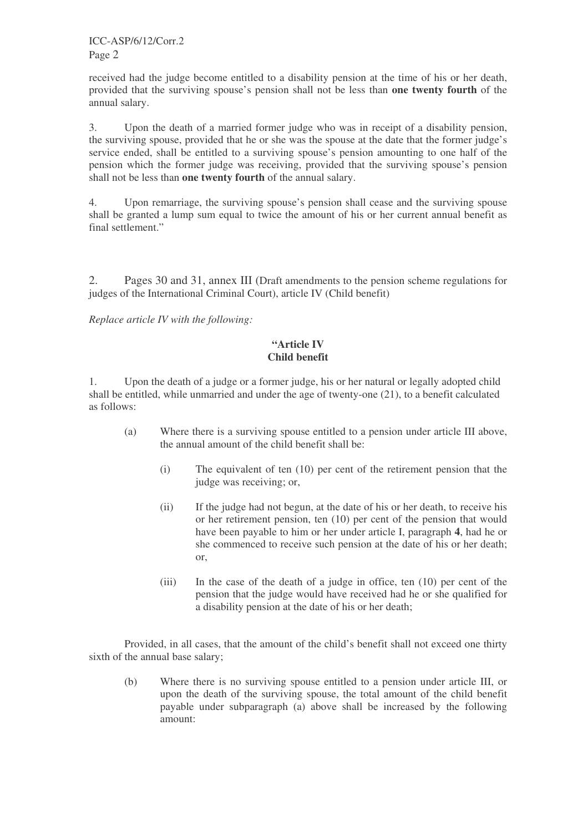ICC-ASP/6/12/Corr.2 Page 2

received had the judge become entitled to a disability pension at the time of his or her death, provided that the surviving spouse's pension shall not be less than **one twenty fourth** of the annual salary.

3. Upon the death of a married former judge who was in receipt of a disability pension, the surviving spouse, provided that he or she was the spouse at the date that the former judge's service ended, shall be entitled to a surviving spouse's pension amounting to one half of the pension which the former judge was receiving, provided that the surviving spouse's pension shall not be less than **one twenty fourth** of the annual salary.

4. Upon remarriage, the surviving spouse's pension shall cease and the surviving spouse shall be granted a lump sum equal to twice the amount of his or her current annual benefit as final settlement."

2. Pages 30 and 31, annex III (Draft amendments to the pension scheme regulations for judges of the International Criminal Court), article IV (Child benefit)

*Replace article IV with the following:*

### **"Article IV Child benefit**

1. Upon the death of a judge or a former judge, his or her natural or legally adopted child shall be entitled, while unmarried and under the age of twenty-one (21), to a benefit calculated as follows:

- (a) Where there is a surviving spouse entitled to a pension under article III above, the annual amount of the child benefit shall be:
	- (i) The equivalent of ten (10) per cent of the retirement pension that the judge was receiving; or,
	- (ii) If the judge had not begun, at the date of his or her death, to receive his or her retirement pension, ten (10) per cent of the pension that would have been payable to him or her under article I, paragraph **4**, had he or she commenced to receive such pension at the date of his or her death; or,
	- (iii) In the case of the death of a judge in office, ten (10) per cent of the pension that the judge would have received had he or she qualified for a disability pension at the date of his or her death;

Provided, in all cases, that the amount of the child's benefit shall not exceed one thirty sixth of the annual base salary;

(b) Where there is no surviving spouse entitled to a pension under article III, or upon the death of the surviving spouse, the total amount of the child benefit payable under subparagraph (a) above shall be increased by the following amount: